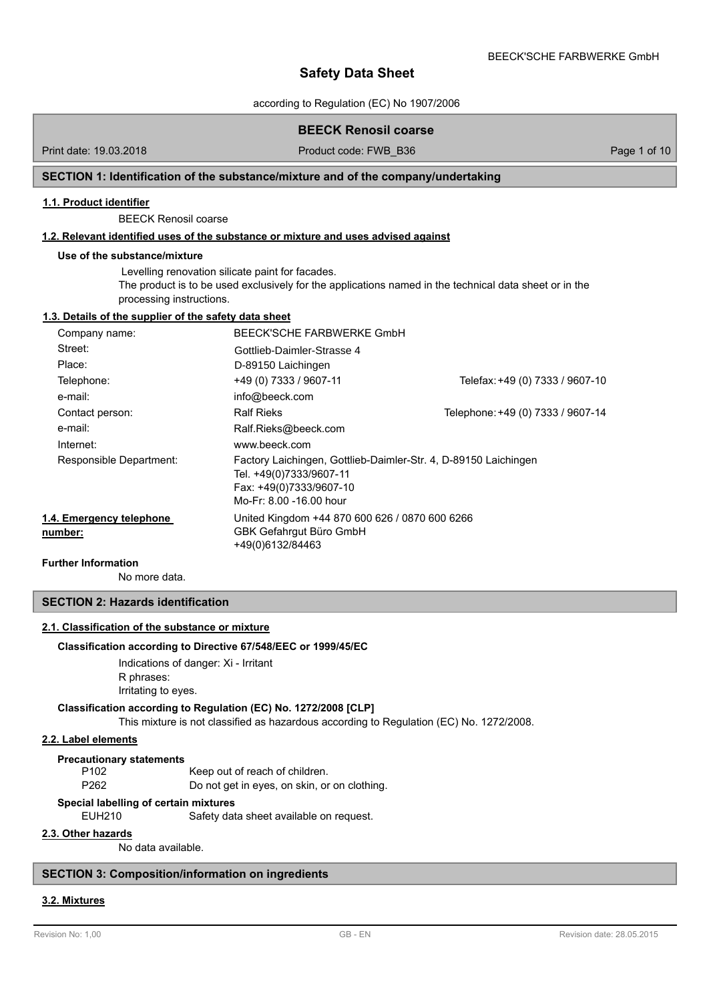according to Regulation (EC) No 1907/2006

|                                                       | <b>BEECK Renosil coarse</b>                                                                                                                      |                                                                                                        |              |
|-------------------------------------------------------|--------------------------------------------------------------------------------------------------------------------------------------------------|--------------------------------------------------------------------------------------------------------|--------------|
| Print date: 19.03.2018                                | Product code: FWB B36                                                                                                                            |                                                                                                        | Page 1 of 10 |
|                                                       | SECTION 1: Identification of the substance/mixture and of the company/undertaking                                                                |                                                                                                        |              |
| 1.1. Product identifier                               |                                                                                                                                                  |                                                                                                        |              |
| <b>BEECK Renosil coarse</b>                           |                                                                                                                                                  |                                                                                                        |              |
|                                                       | 1.2. Relevant identified uses of the substance or mixture and uses advised against                                                               |                                                                                                        |              |
| Use of the substance/mixture                          |                                                                                                                                                  |                                                                                                        |              |
| processing instructions.                              | Levelling renovation silicate paint for facades.                                                                                                 | The product is to be used exclusively for the applications named in the technical data sheet or in the |              |
| 1.3. Details of the supplier of the safety data sheet |                                                                                                                                                  |                                                                                                        |              |
| Company name:                                         | BEECK'SCHE FARBWERKE GmbH                                                                                                                        |                                                                                                        |              |
| Street:                                               | Gottlieb-Daimler-Strasse 4                                                                                                                       |                                                                                                        |              |
| Place:                                                | D-89150 Laichingen                                                                                                                               |                                                                                                        |              |
| Telephone:                                            | +49 (0) 7333 / 9607-11                                                                                                                           | Telefax: +49 (0) 7333 / 9607-10                                                                        |              |
| e-mail:                                               | info@beeck.com                                                                                                                                   |                                                                                                        |              |
| Contact person:                                       | <b>Ralf Rieks</b>                                                                                                                                | Telephone: +49 (0) 7333 / 9607-14                                                                      |              |
| e-mail:                                               | Ralf.Rieks@beeck.com                                                                                                                             |                                                                                                        |              |
| Internet:                                             | www.beeck.com                                                                                                                                    |                                                                                                        |              |
| Responsible Department:                               | Factory Laichingen, Gottlieb-Daimler-Str. 4, D-89150 Laichingen<br>Tel. +49(0)7333/9607-11<br>Fax: +49(0)7333/9607-10<br>Mo-Fr: 8.00 -16.00 hour |                                                                                                        |              |
| 1.4. Emergency telephone<br>number:                   | United Kingdom +44 870 600 626 / 0870 600 6266<br>GBK Gefahrgut Büro GmbH<br>+49(0)6132/84463                                                    |                                                                                                        |              |
| <b>Further Information</b>                            |                                                                                                                                                  |                                                                                                        |              |

No more data.

## **SECTION 2: Hazards identification**

### **2.1. Classification of the substance or mixture**

## **Classification according to Directive 67/548/EEC or 1999/45/EC**

Indications of danger: Xi - Irritant

R phrases:

Irritating to eyes.

## **Classification according to Regulation (EC) No. 1272/2008 [CLP]**

This mixture is not classified as hazardous according to Regulation (EC) No. 1272/2008.

## **2.2. Label elements**

**Precautionary statements**

P102 Keep out of reach of children.

P262 Do not get in eyes, on skin, or on clothing.

## **Special labelling of certain mixtures**

EUH210 Safety data sheet available on request.

## **2.3. Other hazards**

No data available.

## **SECTION 3: Composition/information on ingredients**

## **3.2. Mixtures**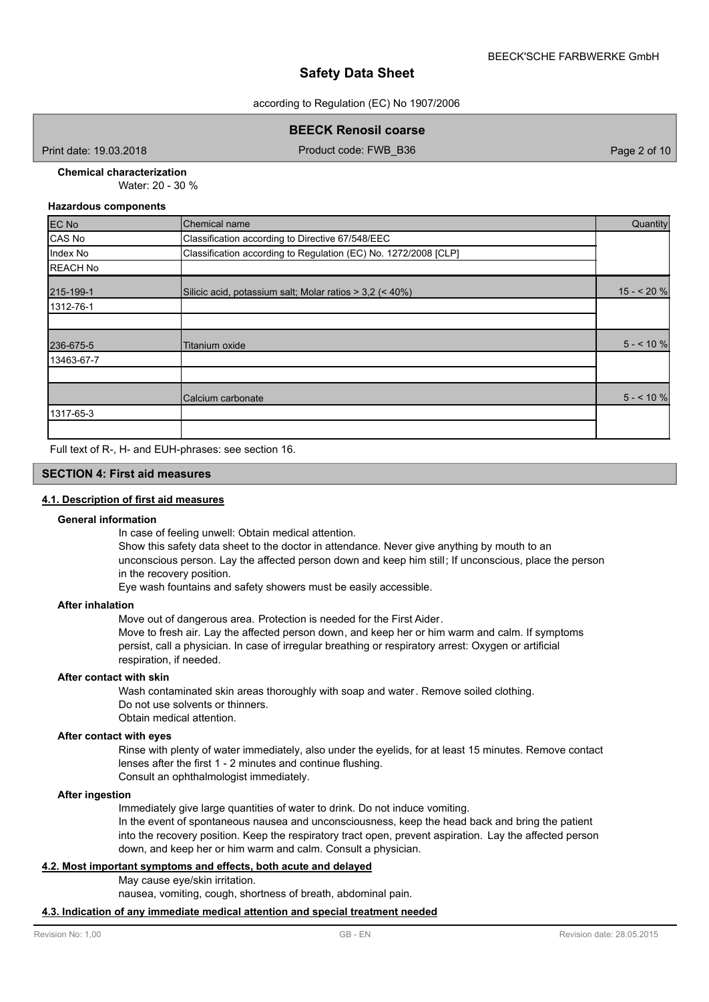according to Regulation (EC) No 1907/2006

**BEECK Renosil coarse** 

Print date: 19.03.2018 **Product code: FWB\_B36** Page 2 of 10

#### Water: 20 - 30 % **Chemical characterization**

### **Hazardous components**

| EC No           | Chemical name                                                   | Quantity   |
|-----------------|-----------------------------------------------------------------|------------|
| CAS No          | Classification according to Directive 67/548/EEC                |            |
| Index No        | Classification according to Regulation (EC) No. 1272/2008 [CLP] |            |
| <b>REACH No</b> |                                                                 |            |
| 215-199-1       | Silicic acid, potassium salt; Molar ratios > 3,2 (< 40%)        | $15 - 20%$ |
| 1312-76-1       |                                                                 |            |
|                 |                                                                 |            |
| 236-675-5       | Titanium oxide                                                  | $5 - 10\%$ |
| 13463-67-7      |                                                                 |            |
|                 |                                                                 |            |
|                 | Calcium carbonate                                               | $5 - 10\%$ |
| 1317-65-3       |                                                                 |            |
|                 |                                                                 |            |

Full text of R-, H- and EUH-phrases: see section 16.

### **SECTION 4: First aid measures**

### **4.1. Description of first aid measures**

### **General information**

In case of feeling unwell: Obtain medical attention.

Show this safety data sheet to the doctor in attendance. Never give anything by mouth to an unconscious person. Lay the affected person down and keep him still; If unconscious, place the person in the recovery position.

Eye wash fountains and safety showers must be easily accessible.

### **After inhalation**

Move out of dangerous area. Protection is needed for the First Aider. Move to fresh air. Lay the affected person down, and keep her or him warm and calm. If symptoms persist, call a physician. In case of irregular breathing or respiratory arrest: Oxygen or artificial respiration, if needed.

### **After contact with skin**

Wash contaminated skin areas thoroughly with soap and water. Remove soiled clothing. Do not use solvents or thinners. Obtain medical attention.

### **After contact with eyes**

Rinse with plenty of water immediately, also under the eyelids, for at least 15 minutes. Remove contact lenses after the first 1 - 2 minutes and continue flushing. Consult an ophthalmologist immediately.

### **After ingestion**

Immediately give large quantities of water to drink. Do not induce vomiting. In the event of spontaneous nausea and unconsciousness, keep the head back and bring the patient into the recovery position. Keep the respiratory tract open, prevent aspiration. Lay the affected person down, and keep her or him warm and calm. Consult a physician.

## **4.2. Most important symptoms and effects, both acute and delayed**

May cause eye/skin irritation.

nausea, vomiting, cough, shortness of breath, abdominal pain.

## **4.3. Indication of any immediate medical attention and special treatment needed**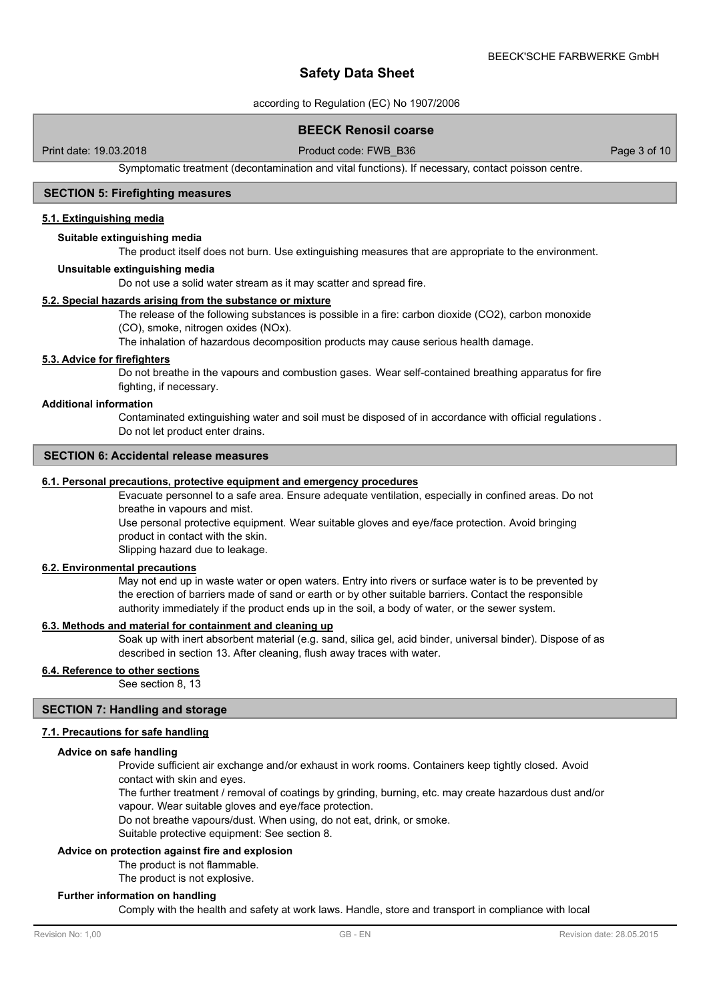according to Regulation (EC) No 1907/2006

## **BEECK Renosil coarse**

Print date: 19.03.2018 **Product code: FWB\_B36** Page 3 of 10

Symptomatic treatment (decontamination and vital functions). If necessary, contact poisson centre.

### **SECTION 5: Firefighting measures**

### **5.1. Extinguishing media**

## **Suitable extinguishing media**

The product itself does not burn. Use extinguishing measures that are appropriate to the environment.

#### **Unsuitable extinguishing media**

Do not use a solid water stream as it may scatter and spread fire.

### **5.2. Special hazards arising from the substance or mixture**

The release of the following substances is possible in a fire: carbon dioxide (CO2), carbon monoxide (CO), smoke, nitrogen oxides (NOx).

The inhalation of hazardous decomposition products may cause serious health damage.

### **5.3. Advice for firefighters**

Do not breathe in the vapours and combustion gases. Wear self-contained breathing apparatus for fire fighting, if necessary.

## **Additional information**

Contaminated extinguishing water and soil must be disposed of in accordance with official regulations . Do not let product enter drains.

## **SECTION 6: Accidental release measures**

#### **6.1. Personal precautions, protective equipment and emergency procedures**

Evacuate personnel to a safe area. Ensure adequate ventilation, especially in confined areas. Do not breathe in vapours and mist.

Use personal protective equipment. Wear suitable gloves and eye/face protection. Avoid bringing product in contact with the skin.

Slipping hazard due to leakage.

#### **6.2. Environmental precautions**

May not end up in waste water or open waters. Entry into rivers or surface water is to be prevented by the erection of barriers made of sand or earth or by other suitable barriers. Contact the responsible authority immediately if the product ends up in the soil, a body of water, or the sewer system.

## **6.3. Methods and material for containment and cleaning up**

Soak up with inert absorbent material (e.g. sand, silica gel, acid binder, universal binder). Dispose of as described in section 13. After cleaning, flush away traces with water.

### **6.4. Reference to other sections**

See section 8, 13

### **SECTION 7: Handling and storage**

## **7.1. Precautions for safe handling**

#### **Advice on safe handling**

Provide sufficient air exchange and/or exhaust in work rooms. Containers keep tightly closed. Avoid contact with skin and eyes.

The further treatment / removal of coatings by grinding, burning, etc. may create hazardous dust and/or vapour. Wear suitable gloves and eye/face protection.

Do not breathe vapours/dust. When using, do not eat, drink, or smoke.

Suitable protective equipment: See section 8.

### **Advice on protection against fire and explosion**

The product is not flammable.

The product is not explosive.

#### **Further information on handling**

Comply with the health and safety at work laws. Handle, store and transport in compliance with local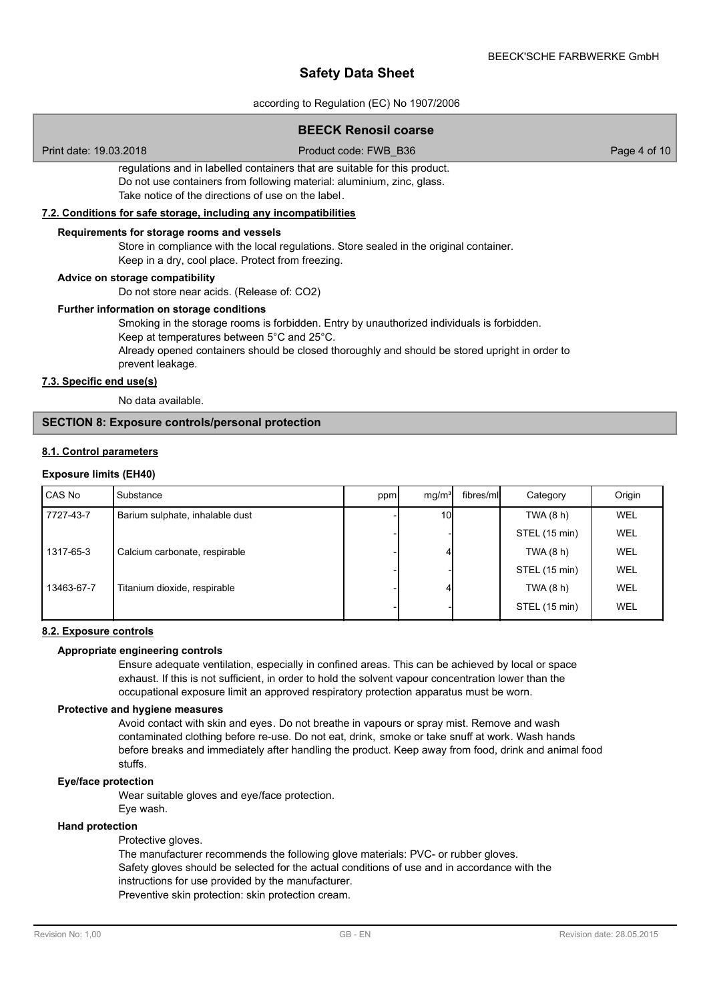according to Regulation (EC) No 1907/2006

## **BEECK Renosil coarse**

Print date: 19.03.2018 Product code: FWB\_B36 Page 4 of 10

regulations and in labelled containers that are suitable for this product. Do not use containers from following material: aluminium, zinc, glass. Take notice of the directions of use on the label.

### **7.2. Conditions for safe storage, including any incompatibilities**

#### **Requirements for storage rooms and vessels**

Store in compliance with the local regulations. Store sealed in the original container.

Keep in a dry, cool place. Protect from freezing.

### **Advice on storage compatibility**

Do not store near acids. (Release of: CO2)

#### **Further information on storage conditions**

Smoking in the storage rooms is forbidden. Entry by unauthorized individuals is forbidden.

Keep at temperatures between 5°C and 25°C.

Already opened containers should be closed thoroughly and should be stored upright in order to prevent leakage.

## **7.3. Specific end use(s)**

No data available.

## **SECTION 8: Exposure controls/personal protection**

### **8.1. Control parameters**

#### **Exposure limits (EH40)**

| CAS No     | Substance                       | ppm | mg/m <sup>3</sup> | fibres/ml | Category      | Origin |
|------------|---------------------------------|-----|-------------------|-----------|---------------|--------|
| 7727-43-7  | Barium sulphate, inhalable dust |     | <b>10</b>         |           | TWA (8 h)     | WEL    |
|            |                                 |     |                   |           | STEL (15 min) | WEL    |
| 1317-65-3  | Calcium carbonate, respirable   |     |                   |           | TWA(8 h)      | WEL    |
|            |                                 |     |                   |           | STEL (15 min) | WEL    |
| 13463-67-7 | Titanium dioxide, respirable    |     |                   |           | TWA $(8 h)$   | WEL    |
|            |                                 |     |                   |           | STEL (15 min) | WEL    |

### **8.2. Exposure controls**

## **Appropriate engineering controls**

Ensure adequate ventilation, especially in confined areas. This can be achieved by local or space exhaust. If this is not sufficient, in order to hold the solvent vapour concentration lower than the occupational exposure limit an approved respiratory protection apparatus must be worn.

#### **Protective and hygiene measures**

Avoid contact with skin and eyes. Do not breathe in vapours or spray mist. Remove and wash contaminated clothing before re-use. Do not eat, drink, smoke or take snuff at work. Wash hands before breaks and immediately after handling the product. Keep away from food, drink and animal food stuffs.

### **Eye/face protection**

Wear suitable gloves and eye/face protection.

Eye wash.

### **Hand protection**

Protective gloves.

The manufacturer recommends the following glove materials: PVC- or rubber gloves. Safety gloves should be selected for the actual conditions of use and in accordance with the instructions for use provided by the manufacturer.

Preventive skin protection: skin protection cream.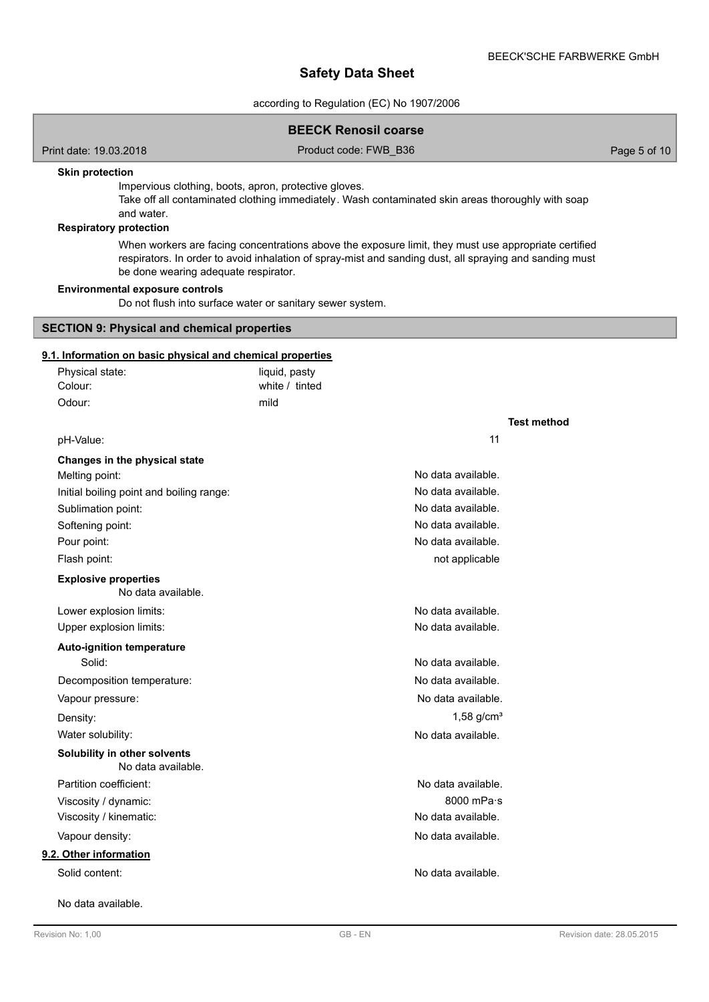according to Regulation (EC) No 1907/2006

### **BEECK Renosil coarse**

Print date: 19.03.2018 Product code: FWB\_B36 Page 5 of 10

## **Skin protection**

Impervious clothing, boots, apron, protective gloves.

Take off all contaminated clothing immediately. Wash contaminated skin areas thoroughly with soap and water.

## **Respiratory protection**

When workers are facing concentrations above the exposure limit, they must use appropriate certified respirators. In order to avoid inhalation of spray-mist and sanding dust, all spraying and sanding must be done wearing adequate respirator.

## **Environmental exposure controls**

Do not flush into surface water or sanitary sewer system.

## **SECTION 9: Physical and chemical properties**

# **9.1. Information on basic physical and chemical properties**

| <u>9. r. information on basic priysical and chemical properties</u><br>Physical state: | liquid, pasty  |                          |  |
|----------------------------------------------------------------------------------------|----------------|--------------------------|--|
| Colour:                                                                                | white / tinted |                          |  |
| Odour:                                                                                 | mild           |                          |  |
|                                                                                        |                | <b>Test method</b>       |  |
| pH-Value:                                                                              |                | 11                       |  |
| Changes in the physical state                                                          |                |                          |  |
| Melting point:                                                                         |                | No data available.       |  |
| Initial boiling point and boiling range:                                               |                | No data available.       |  |
| Sublimation point:                                                                     |                | No data available.       |  |
| Softening point:                                                                       |                | No data available.       |  |
| Pour point:                                                                            |                | No data available.       |  |
| Flash point:                                                                           |                | not applicable           |  |
| <b>Explosive properties</b><br>No data available.                                      |                |                          |  |
| Lower explosion limits:                                                                |                | No data available.       |  |
| Upper explosion limits:                                                                |                | No data available.       |  |
| <b>Auto-ignition temperature</b>                                                       |                |                          |  |
| Solid:                                                                                 |                | No data available.       |  |
| Decomposition temperature:                                                             |                | No data available.       |  |
| Vapour pressure:                                                                       |                | No data available.       |  |
| Density:                                                                               |                | $1.58$ g/cm <sup>3</sup> |  |
| Water solubility:                                                                      |                | No data available.       |  |
| Solubility in other solvents<br>No data available.                                     |                |                          |  |
| Partition coefficient:                                                                 |                | No data available.       |  |
| Viscosity / dynamic:                                                                   |                | 8000 mPa·s               |  |
| Viscosity / kinematic:                                                                 |                | No data available.       |  |
| Vapour density:                                                                        |                | No data available.       |  |
| 9.2. Other information                                                                 |                |                          |  |
| Solid content:                                                                         |                | No data available.       |  |
| No data available.                                                                     |                |                          |  |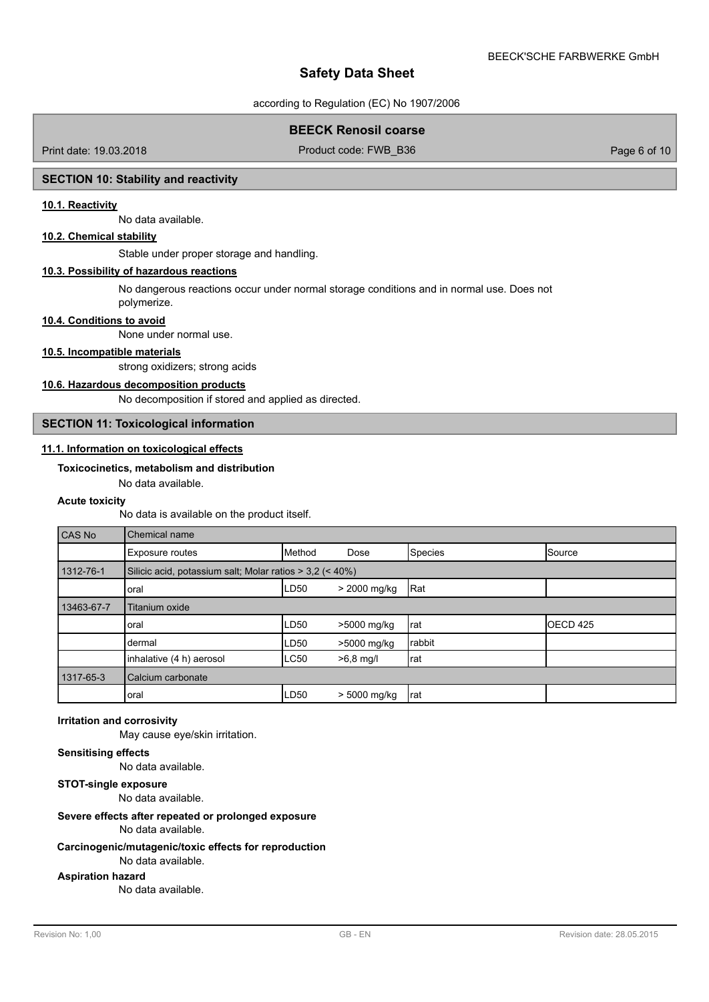according to Regulation (EC) No 1907/2006

## **BEECK Renosil coarse**

Print date: 19.03.2018 **Product code: FWB\_B36** Page 6 of 10

## **SECTION 10: Stability and reactivity**

### **10.1. Reactivity**

No data available.

## **10.2. Chemical stability**

Stable under proper storage and handling.

## **10.3. Possibility of hazardous reactions**

No dangerous reactions occur under normal storage conditions and in normal use. Does not polymerize.

#### **10.4. Conditions to avoid**

None under normal use.

### **10.5. Incompatible materials**

strong oxidizers; strong acids

## **10.6. Hazardous decomposition products**

No decomposition if stored and applied as directed.

### **SECTION 11: Toxicological information**

### **11.1. Information on toxicological effects**

## **Toxicocinetics, metabolism and distribution**

No data available.

#### **Acute toxicity**

No data is available on the product itself.

| CAS No     | <b>Chemical name</b>                                     |             |              |         |                   |
|------------|----------------------------------------------------------|-------------|--------------|---------|-------------------|
|            | <b>Exposure routes</b>                                   | Method      | Dose         | Species | Source            |
| 1312-76-1  | Silicic acid, potassium salt; Molar ratios > 3,2 (< 40%) |             |              |         |                   |
|            | loral                                                    | LD50        | > 2000 mg/kg | Rat     |                   |
| 13463-67-7 | Titanium oxide                                           |             |              |         |                   |
|            | loral                                                    | LD50        | >5000 mg/kg  | rat     | <b>I</b> OECD 425 |
|            | Idermal                                                  | LD50        | >5000 mg/kg  | rabbit  |                   |
|            | inhalative (4 h) aerosol                                 | <b>LC50</b> | $>6,8$ mg/l  | rat     |                   |
| 1317-65-3  | Calcium carbonate                                        |             |              |         |                   |
|            | loral                                                    | LD50        | > 5000 mg/kg | rat     |                   |

#### **Irritation and corrosivity**

May cause eye/skin irritation.

## **Sensitising effects**

No data available.

### **STOT-single exposure**

No data available.

### **Severe effects after repeated or prolonged exposure**

No data available.

### **Carcinogenic/mutagenic/toxic effects for reproduction**

No data available.

## **Aspiration hazard**

No data available.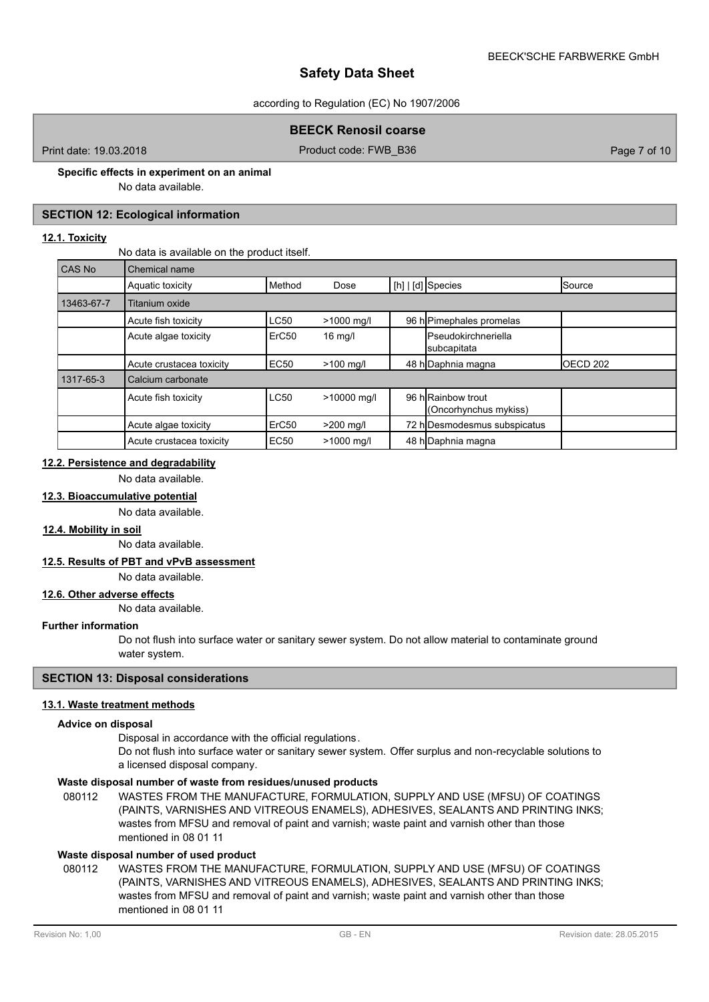### according to Regulation (EC) No 1907/2006

## **BEECK Renosil coarse**

Print date: 19.03.2018 **Product code: FWB\_B36** Page 7 of 10

## **Specific effects in experiment on an animal**

No data available.

## **SECTION 12: Ecological information**

## **12.1. Toxicity**

No data is available on the product itself.

| <b>CAS No</b> | Chemical name            |                   |              |                                            |          |
|---------------|--------------------------|-------------------|--------------|--------------------------------------------|----------|
|               | Aquatic toxicity         | Method            | Dose         | [h]   [d] Species                          | Source   |
| 13463-67-7    | Titanium oxide           |                   |              |                                            |          |
|               | Acute fish toxicity      | LC50              | $>1000$ mg/l | 96 h Pimephales promelas                   |          |
|               | Acute algae toxicity     | ErC <sub>50</sub> | $16$ mg/l    | <b>IPseudokirchneriella</b><br>subcapitata |          |
|               | Acute crustacea toxicity | EC50              | $>100$ mg/l  | 48 h Daphnia magna                         | OECD 202 |
| 1317-65-3     | Calcium carbonate        |                   |              |                                            |          |
|               | Acute fish toxicity      | LC50              | >10000 mg/l  | 96 hRainbow trout<br>(Oncorhynchus mykiss) |          |
|               | Acute algae toxicity     | ErC <sub>50</sub> | $>200$ mg/l  | 72 h Desmodesmus subspicatus               |          |
|               | Acute crustacea toxicity | <b>EC50</b>       | >1000 mg/l   | 48 h Daphnia magna                         |          |

## **12.2. Persistence and degradability**

No data available.

**12.3. Bioaccumulative potential**

No data available.

### **12.4. Mobility in soil**

No data available.

### **12.5. Results of PBT and vPvB assessment**

No data available.

### **12.6. Other adverse effects**

No data available.

## **Further information**

Do not flush into surface water or sanitary sewer system. Do not allow material to contaminate ground water system.

## **SECTION 13: Disposal considerations**

### **13.1. Waste treatment methods**

#### **Advice on disposal**

Disposal in accordance with the official regulations.

Do not flush into surface water or sanitary sewer system. Offer surplus and non-recyclable solutions to a licensed disposal company.

## **Waste disposal number of waste from residues/unused products**

080112 WASTES FROM THE MANUFACTURE, FORMULATION, SUPPLY AND USE (MFSU) OF COATINGS (PAINTS, VARNISHES AND VITREOUS ENAMELS), ADHESIVES, SEALANTS AND PRINTING INKS; wastes from MFSU and removal of paint and varnish; waste paint and varnish other than those mentioned in 08 01 11

### **Waste disposal number of used product**

WASTES FROM THE MANUFACTURE, FORMULATION, SUPPLY AND USE (MFSU) OF COATINGS (PAINTS, VARNISHES AND VITREOUS ENAMELS), ADHESIVES, SEALANTS AND PRINTING INKS; wastes from MFSU and removal of paint and varnish; waste paint and varnish other than those mentioned in 08 01 11 080112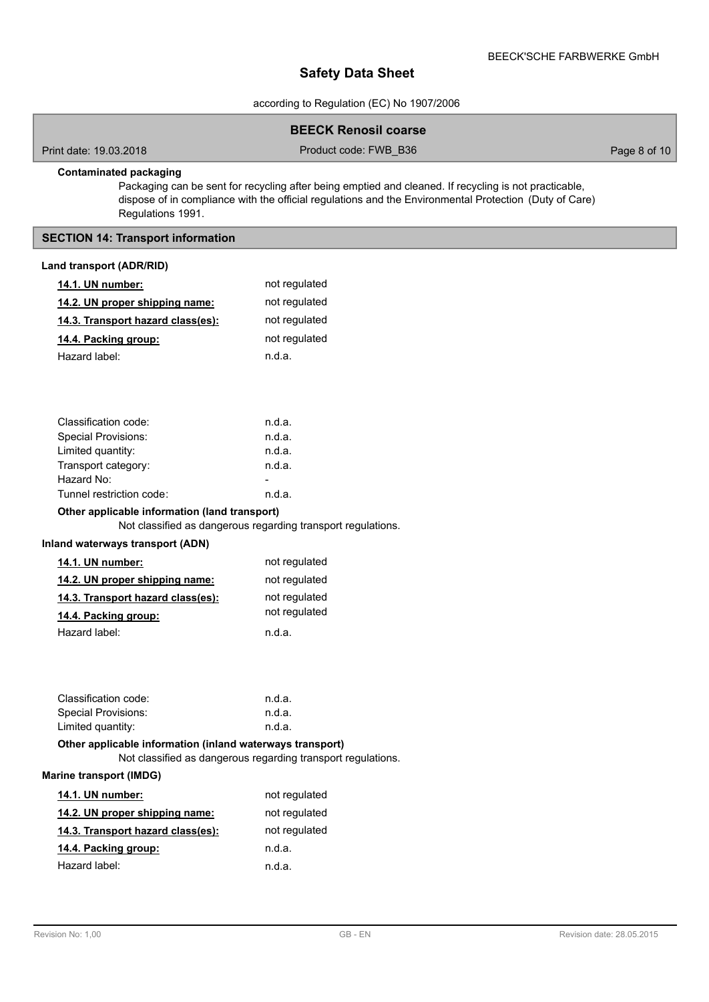according to Regulation (EC) No 1907/2006

### **BEECK Renosil coarse**

Print date: 19.03.2018 Product code: FWB\_B36 Page 8 of 10

## **Contaminated packaging**

Packaging can be sent for recycling after being emptied and cleaned. If recycling is not practicable, dispose of in compliance with the official regulations and the Environmental Protection (Duty of Care) Regulations 1991.

## **SECTION 14: Transport information**

## **Land transport (ADR/RID)**

| 14.1. UN number:                                          | not regulated                                                |
|-----------------------------------------------------------|--------------------------------------------------------------|
| 14.2. UN proper shipping name:                            | not regulated                                                |
| 14.3. Transport hazard class(es):                         | not regulated                                                |
| 14.4. Packing group:                                      | not regulated                                                |
| Hazard label:                                             | n.d.a.                                                       |
|                                                           |                                                              |
|                                                           |                                                              |
|                                                           |                                                              |
| Classification code:                                      | n.d.a.                                                       |
| <b>Special Provisions:</b>                                | n.d.a.                                                       |
| Limited quantity:                                         | n.d.a.                                                       |
| Transport category:                                       | n.d.a.                                                       |
| Hazard No:                                                |                                                              |
| Tunnel restriction code:                                  | n.d.a.                                                       |
| Other applicable information (land transport)             |                                                              |
|                                                           | Not classified as dangerous regarding transport regulations. |
| Inland waterways transport (ADN)                          |                                                              |
| 14.1. UN number:                                          | not regulated                                                |
| <u>14.2. UN proper shipping name:</u>                     | not regulated                                                |
| 14.3. Transport hazard class(es):                         | not regulated                                                |
| 14.4. Packing group:                                      | not regulated                                                |
| Hazard label:                                             | n.d.a.                                                       |
|                                                           |                                                              |
|                                                           |                                                              |
|                                                           |                                                              |
| Classification code:                                      | n.d.a.                                                       |
| <b>Special Provisions:</b>                                | n.d.a.                                                       |
| Limited quantity:                                         | n.d.a.                                                       |
| Other applicable information (inland waterways transport) |                                                              |
|                                                           | Not classified as dangerous regarding transport regulations. |
| <b>Marine transport (IMDG)</b>                            |                                                              |
| 14.1. UN number:                                          | not regulated                                                |
| 14.2. UN proper shipping name:                            | not regulated                                                |
| <u>14.3. Transport hazard class(es):</u>                  | not regulated                                                |
| <u>14.4. Packing group:</u>                               | n.d.a.                                                       |
| Hazard label:                                             | n.d.a.                                                       |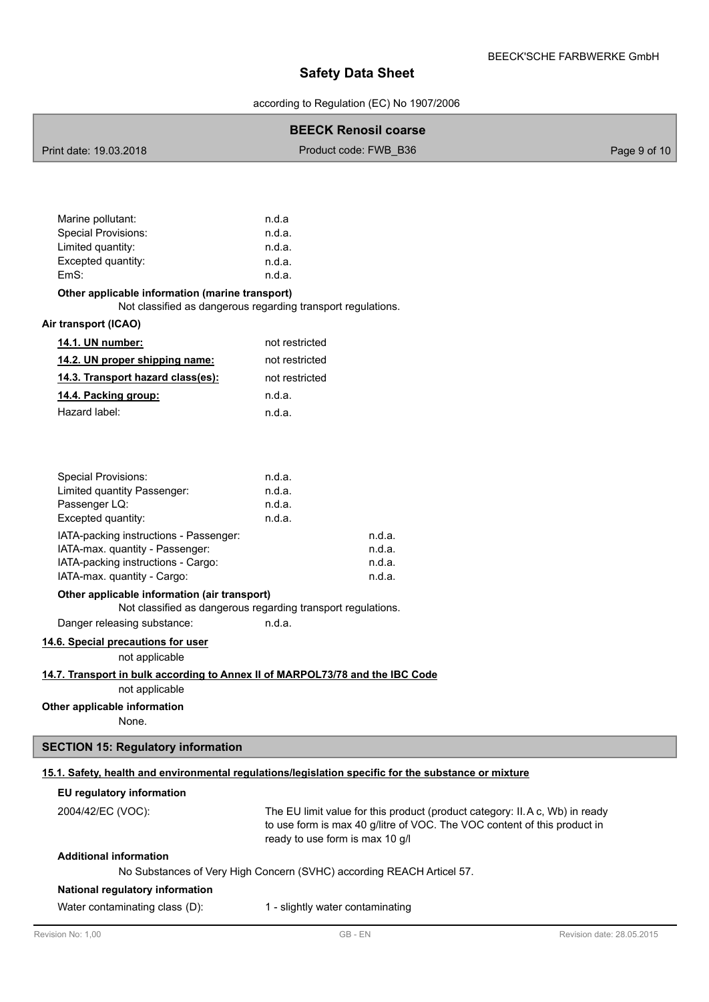according to Regulation (EC) No 1907/2006

## **BEECK Renosil coarse**

| Print date: 19.03.2018 | Product code: FWB B36 | Page 9 of 10 |
|------------------------|-----------------------|--------------|
|                        |                       |              |

| Marine pollutant:   | n.d.a  |
|---------------------|--------|
| Special Provisions: | n.d.a. |
| Limited quantity:   | n.d.a. |
| Excepted quantity:  | n.d.a. |
| EmS:                | n.d.a. |
|                     |        |

### **Other applicable information (marine transport)**

Not classified as dangerous regarding transport regulations.

### **Air transport (ICAO)**

| <b>14.1. UN number:</b>           | not restricted |
|-----------------------------------|----------------|
| 14.2. UN proper shipping name:    | not restricted |
| 14.3. Transport hazard class(es): | not restricted |
| 14.4. Packing group:              | n.d.a.         |
| Hazard label:                     | n.d.a.         |

| n.d.a. |        |
|--------|--------|
| n.d.a. |        |
| n.d.a. |        |
| n.d.a. |        |
|        | n.d.a. |
|        | n.d.a. |
|        | n.d.a. |
|        | n.d.a. |
|        |        |

### **Other applicable information (air transport)**

Not classified as dangerous regarding transport regulations.

Danger releasing substance: h.d.a.

## **14.6. Special precautions for user**

not applicable

### **14.7. Transport in bulk according to Annex II of MARPOL73/78 and the IBC Code**

not applicable

## **Other applicable information**

None.

### **SECTION 15: Regulatory information**

## **15.1. Safety, health and environmental regulations/legislation specific for the substance or mixture**

## **EU regulatory information**

2004/42/EC (VOC):

The EU limit value for this product (product category: II.A c, Wb) in ready to use form is max 40 g/litre of VOC. The VOC content of this product in ready to use form is max 10 g/l

## **Additional information**

No Substances of Very High Concern (SVHC) according REACH Articel 57.

### **National regulatory information**

Water contaminating class (D): 1 - slightly water contaminating